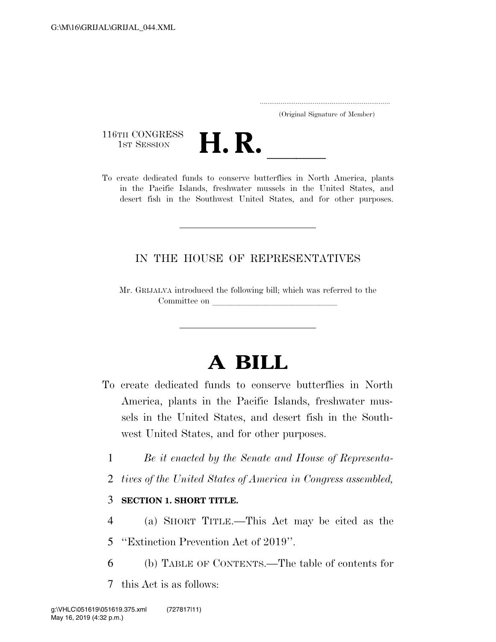..................................................................... (Original Signature of Member)

116TH CONGRESS<br>1st Session



116TH CONGRESS<br>
1st SESSION<br>
To create dedicated funds to conserve butterflies in North America, plants in the Pacific Islands, freshwater mussels in the United States, and desert fish in the Southwest United States, and for other purposes.

# IN THE HOUSE OF REPRESENTATIVES

Mr. GRIJALVA introduced the following bill; which was referred to the Committee on

# **A BILL**

- To create dedicated funds to conserve butterflies in North America, plants in the Pacific Islands, freshwater mussels in the United States, and desert fish in the Southwest United States, and for other purposes.
	- 1 *Be it enacted by the Senate and House of Representa-*
	- 2 *tives of the United States of America in Congress assembled,*

# 3 **SECTION 1. SHORT TITLE.**

- 4 (a) SHORT TITLE.—This Act may be cited as the
- 5 ''Extinction Prevention Act of 2019''.
- 6 (b) TABLE OF CONTENTS.—The table of contents for
- 7 this Act is as follows: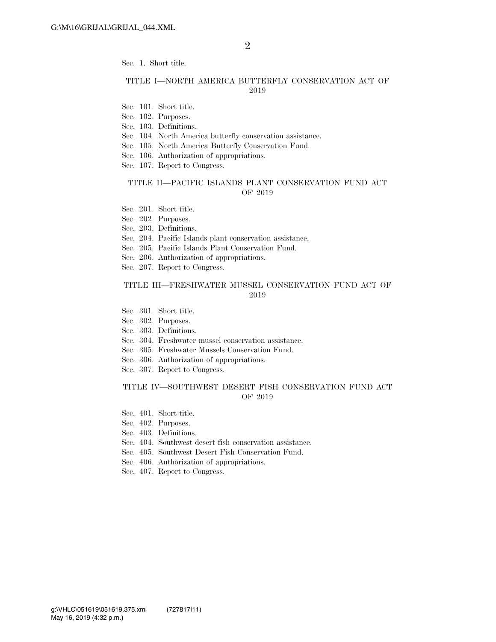Sec. 1. Short title.

#### TITLE I—NORTH AMERICA BUTTERFLY CONSERVATION ACT OF 2019

- Sec. 101. Short title.
- Sec. 102. Purposes.
- Sec. 103. Definitions.
- Sec. 104. North America butterfly conservation assistance.
- Sec. 105. North America Butterfly Conservation Fund.
- Sec. 106. Authorization of appropriations.
- Sec. 107. Report to Congress.

#### TITLE II—PACIFIC ISLANDS PLANT CONSERVATION FUND ACT OF 2019

- Sec. 201. Short title.
- Sec. 202. Purposes.
- Sec. 203. Definitions.
- Sec. 204. Pacific Islands plant conservation assistance.
- Sec. 205. Pacific Islands Plant Conservation Fund.
- Sec. 206. Authorization of appropriations.
- Sec. 207. Report to Congress.

#### TITLE III—FRESHWATER MUSSEL CONSERVATION FUND ACT OF 2019

- Sec. 301. Short title.
- Sec. 302. Purposes.
- Sec. 303. Definitions.
- Sec. 304. Freshwater mussel conservation assistance.
- Sec. 305. Freshwater Mussels Conservation Fund.
- Sec. 306. Authorization of appropriations.
- Sec. 307. Report to Congress.

#### TITLE IV—SOUTHWEST DESERT FISH CONSERVATION FUND ACT OF 2019

- Sec. 401. Short title.
- Sec. 402. Purposes.
- Sec. 403. Definitions.
- Sec. 404. Southwest desert fish conservation assistance.
- Sec. 405. Southwest Desert Fish Conservation Fund.
- Sec. 406. Authorization of appropriations.
- Sec. 407. Report to Congress.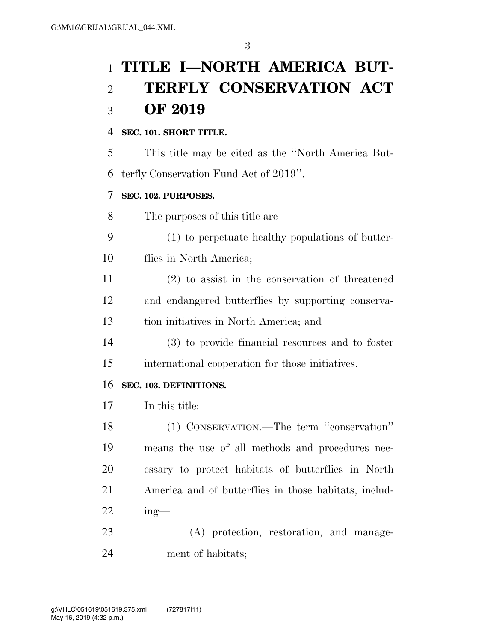# **TITLE I—NORTH AMERICA BUT- TERFLY CONSERVATION ACT OF 2019**

# **SEC. 101. SHORT TITLE.**

This title may be cited as the ''North America But-

terfly Conservation Fund Act of 2019''.

# **SEC. 102. PURPOSES.**

The purposes of this title are—

 (1) to perpetuate healthy populations of butter-flies in North America;

 (2) to assist in the conservation of threatened and endangered butterflies by supporting conserva-tion initiatives in North America; and

 (3) to provide financial resources and to foster international cooperation for those initiatives.

# **SEC. 103. DEFINITIONS.**

In this title:

 (1) CONSERVATION.—The term ''conservation'' means the use of all methods and procedures nec- essary to protect habitats of butterflies in North America and of butterflies in those habitats, includ-ing—

 (A) protection, restoration, and manage-ment of habitats;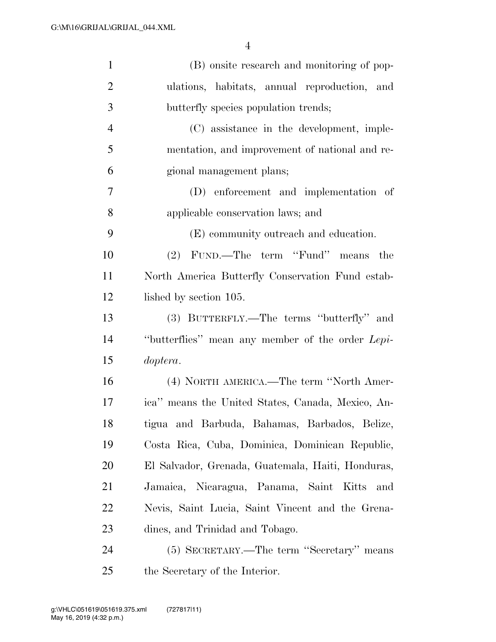| $\mathbf{1}$   | (B) onsite research and monitoring of pop-        |
|----------------|---------------------------------------------------|
| $\overline{2}$ | ulations, habitats, annual reproduction, and      |
| 3              | butterfly species population trends;              |
| $\overline{4}$ | (C) assistance in the development, imple-         |
| 5              | mentation, and improvement of national and re-    |
| 6              | gional management plans;                          |
| 7              | (D) enforcement and implementation of             |
| 8              | applicable conservation laws; and                 |
| 9              | (E) community outreach and education.             |
| 10             | FUND.—The term "Fund"<br>(2)<br>means the         |
| 11             | North America Butterfly Conservation Fund estab-  |
| 12             | lished by section 105.                            |
| 13             | (3) BUTTERFLY.—The terms "butterfly" and          |
| 14             | "butterflies" mean any member of the order Lepi-  |
| 15             | doptera.                                          |
| 16             | (4) NORTH AMERICA.—The term "North Amer-          |
| 17             | ica" means the United States, Canada, Mexico, An- |
| 18             | tigua and Barbuda, Bahamas, Barbados, Belize,     |
| 19             | Costa Rica, Cuba, Dominica, Dominican Republic,   |
| 20             | El Salvador, Grenada, Guatemala, Haiti, Honduras, |
| 21             | Jamaica, Nicaragua, Panama, Saint<br>Kitts<br>and |
| 22             | Nevis, Saint Lucia, Saint Vincent and the Grena-  |
| 23             | dines, and Trinidad and Tobago.                   |
| 24             | (5) SECRETARY.—The term "Secretary" means         |
| 25             | the Secretary of the Interior.                    |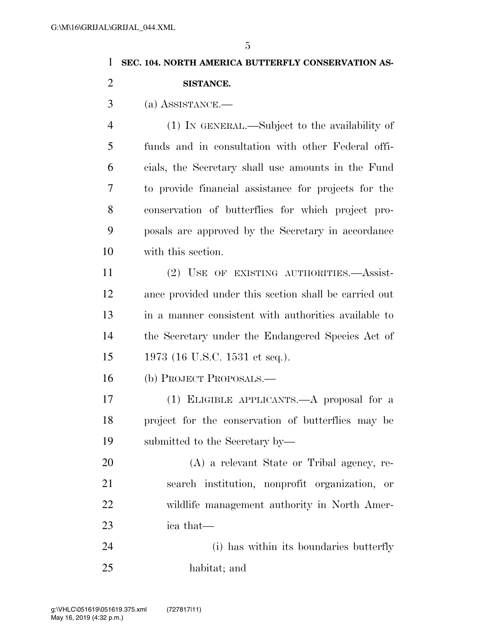#### **SEC. 104. NORTH AMERICA BUTTERFLY CONSERVATION AS-**

**SISTANCE.** 

(a) ASSISTANCE.—

 (1) IN GENERAL.—Subject to the availability of funds and in consultation with other Federal offi- cials, the Secretary shall use amounts in the Fund to provide financial assistance for projects for the conservation of butterflies for which project pro- posals are approved by the Secretary in accordance with this section.

 (2) USE OF EXISTING AUTHORITIES.—Assist- ance provided under this section shall be carried out in a manner consistent with authorities available to the Secretary under the Endangered Species Act of 1973 (16 U.S.C. 1531 et seq.).

(b) PROJECT PROPOSALS.—

 (1) ELIGIBLE APPLICANTS.—A proposal for a project for the conservation of butterflies may be submitted to the Secretary by—

 (A) a relevant State or Tribal agency, re- search institution, nonprofit organization, or wildlife management authority in North Amer-ica that—

 (i) has within its boundaries butterfly habitat; and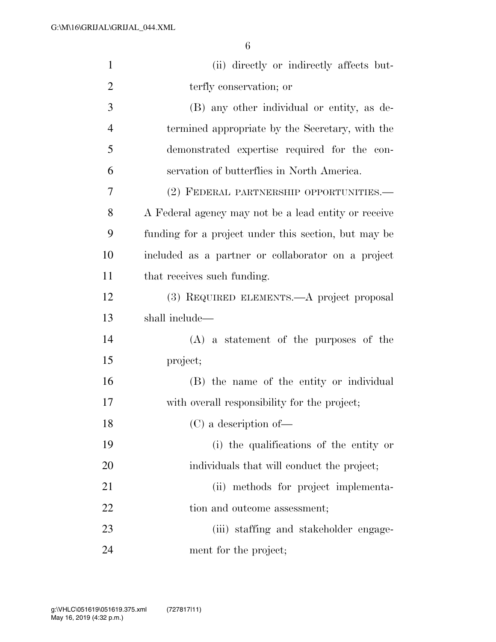| $\mathbf{1}$   | (ii) directly or indirectly affects but-             |
|----------------|------------------------------------------------------|
| $\overline{2}$ | terfly conservation; or                              |
| 3              | (B) any other individual or entity, as de-           |
| $\overline{4}$ | termined appropriate by the Secretary, with the      |
| 5              | demonstrated expertise required for the con-         |
| 6              | servation of butterflies in North America.           |
| 7              | (2) FEDERAL PARTNERSHIP OPPORTUNITIES.—              |
| 8              | A Federal agency may not be a lead entity or receive |
| 9              | funding for a project under this section, but may be |
| 10             | included as a partner or collaborator on a project   |
| 11             | that receives such funding.                          |
| 12             | (3) REQUIRED ELEMENTS.—A project proposal            |
| 13             | shall include—                                       |
| 14             | $(A)$ a statement of the purposes of the             |
| 15             | project;                                             |
| 16             | (B) the name of the entity or individual             |
| 17             | with overall responsibility for the project;         |
| 18             | (C) a description of                                 |
| 19             | (i) the qualifications of the entity or              |
| 20             | individuals that will conduct the project;           |
| 21             | (ii) methods for project implementa-                 |
| 22             | tion and outcome assessment;                         |
| 23             | (iii) staffing and stakeholder engage-               |
| 24             | ment for the project;                                |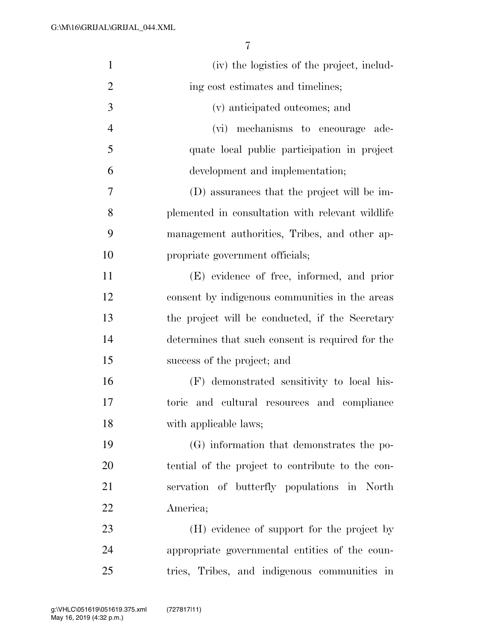| $\mathbf{1}$   | (iv) the logistics of the project, includ-       |
|----------------|--------------------------------------------------|
| $\overline{2}$ | ing cost estimates and timelines;                |
| 3              | (v) anticipated outcomes; and                    |
| $\overline{4}$ | (vi) mechanisms to encourage ade-                |
| 5              | quate local public participation in project      |
| 6              | development and implementation;                  |
| 7              | (D) assurances that the project will be im-      |
| 8              | plemented in consultation with relevant wildlife |
| 9              | management authorities, Tribes, and other ap-    |
| 10             | propriate government officials;                  |
| 11             | (E) evidence of free, informed, and prior        |
| 12             | consent by indigenous communities in the areas   |
| 13             | the project will be conducted, if the Secretary  |
| 14             | determines that such consent is required for the |
| 15             | success of the project; and                      |
| 16             | (F) demonstrated sensitivity to local his-       |
| 17             | and cultural resources and compliance<br>toric   |
| 18             | with applicable laws;                            |
| 19             | (G) information that demonstrates the po-        |
| 20             | tential of the project to contribute to the con- |
| 21             | servation of butterfly populations in North      |
| 22             | America;                                         |
| 23             | (H) evidence of support for the project by       |
| 24             | appropriate governmental entities of the coun-   |
| 25             | tries, Tribes, and indigenous communities in     |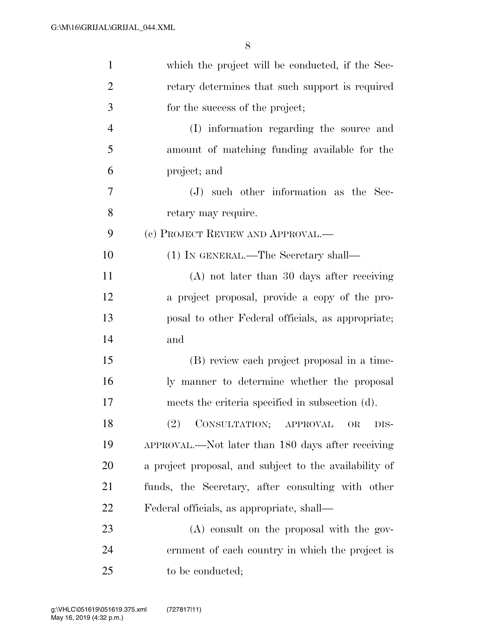| $\mathbf{1}$   | which the project will be conducted, if the Sec-       |
|----------------|--------------------------------------------------------|
| 2              | retary determines that such support is required        |
| 3              | for the success of the project;                        |
| $\overline{4}$ | (I) information regarding the source and               |
| 5              | amount of matching funding available for the           |
| 6              | project; and                                           |
| 7              | (J) such other information as the Sec-                 |
| 8              | retary may require.                                    |
| 9              | (c) PROJECT REVIEW AND APPROVAL.—                      |
| 10             | (1) IN GENERAL.—The Secretary shall—                   |
| 11             | $(A)$ not later than 30 days after receiving           |
| 12             | a project proposal, provide a copy of the pro-         |
| 13             | posal to other Federal officials, as appropriate;      |
| 14             | and                                                    |
| 15             | (B) review each project proposal in a time-            |
| 16             | ly manner to determine whether the proposal            |
| 17             | meets the criteria specified in subsection (d).        |
| 18             | (2) CONSULTATION; APPROVAL OR DIS-                     |
| 19             | APPROVAL.—Not later than 180 days after receiving      |
| 20             | a project proposal, and subject to the availability of |
| 21             | funds, the Secretary, after consulting with other      |
| 22             | Federal officials, as appropriate, shall—              |
| 23             | $(A)$ consult on the proposal with the gov-            |
| 24             | ernment of each country in which the project is        |
| 25             | to be conducted;                                       |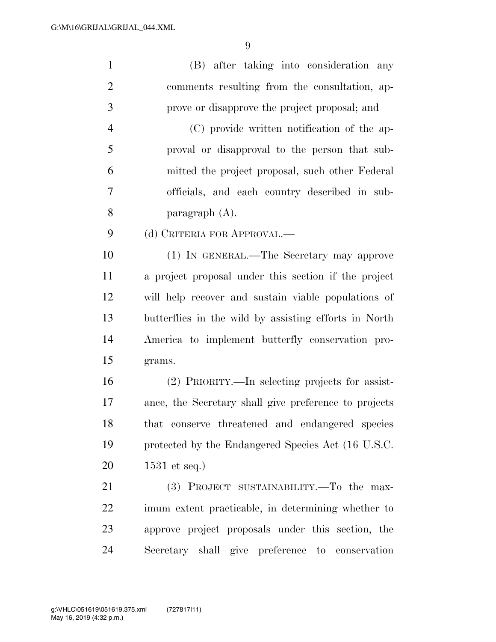(B) after taking into consideration any comments resulting from the consultation, ap-prove or disapprove the project proposal; and

 (C) provide written notification of the ap- proval or disapproval to the person that sub- mitted the project proposal, such other Federal officials, and each country described in sub-paragraph (A).

9 (d) CRITERIA FOR APPROVAL.—

 (1) IN GENERAL.—The Secretary may approve a project proposal under this section if the project will help recover and sustain viable populations of butterflies in the wild by assisting efforts in North America to implement butterfly conservation pro-grams.

 (2) PRIORITY.—In selecting projects for assist- ance, the Secretary shall give preference to projects that conserve threatened and endangered species protected by the Endangered Species Act (16 U.S.C. 1531 et seq.)

21 (3) PROJECT SUSTAINABILITY.—To the max- imum extent practicable, in determining whether to approve project proposals under this section, the Secretary shall give preference to conservation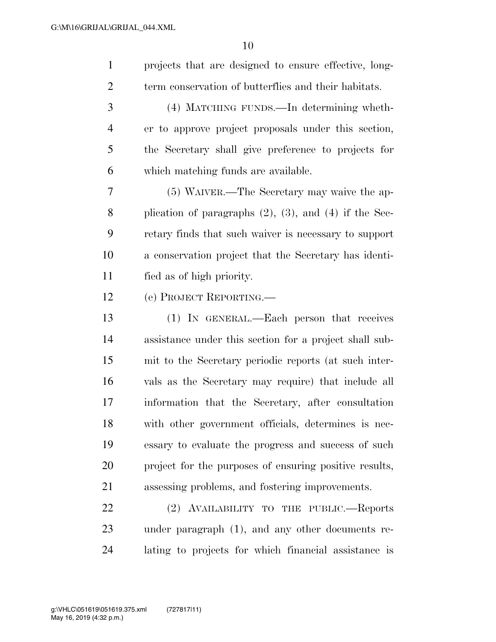projects that are designed to ensure effective, long- term conservation of butterflies and their habitats. (4) MATCHING FUNDS.—In determining wheth- er to approve project proposals under this section, the Secretary shall give preference to projects for which matching funds are available. (5) WAIVER.—The Secretary may waive the ap- plication of paragraphs (2), (3), and (4) if the Sec- retary finds that such waiver is necessary to support a conservation project that the Secretary has identi- fied as of high priority. (e) PROJECT REPORTING.— (1) IN GENERAL.—Each person that receives assistance under this section for a project shall sub- mit to the Secretary periodic reports (at such inter- vals as the Secretary may require) that include all information that the Secretary, after consultation with other government officials, determines is nec- essary to evaluate the progress and success of such project for the purposes of ensuring positive results, assessing problems, and fostering improvements. 22 (2) AVAILABILITY TO THE PUBLIC.—Reports under paragraph (1), and any other documents re-

lating to projects for which financial assistance is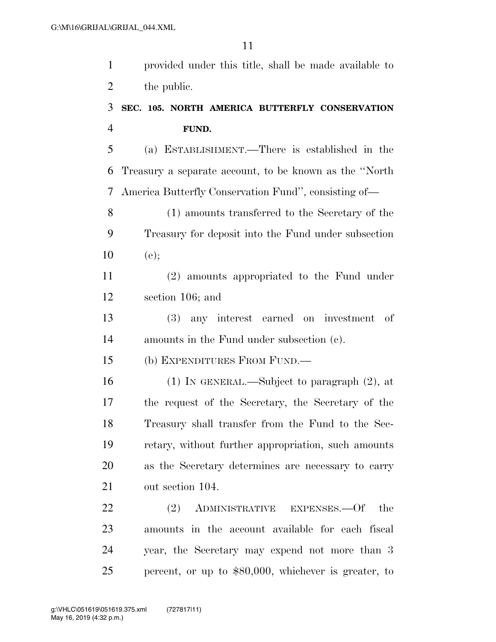provided under this title, shall be made available to 2 the public.

# **SEC. 105. NORTH AMERICA BUTTERFLY CONSERVATION FUND.**

 (a) ESTABLISHMENT.—There is established in the Treasury a separate account, to be known as the ''North America Butterfly Conservation Fund'', consisting of—

 (1) amounts transferred to the Secretary of the Treasury for deposit into the Fund under subsection (e);

 (2) amounts appropriated to the Fund under section 106; and

 (3) any interest earned on investment of amounts in the Fund under subsection (c).

(b) EXPENDITURES FROM FUND.—

 (1) IN GENERAL.—Subject to paragraph (2), at the request of the Secretary, the Secretary of the Treasury shall transfer from the Fund to the Sec- retary, without further appropriation, such amounts as the Secretary determines are necessary to carry out section 104.

22 (2) ADMINISTRATIVE EXPENSES.—Of the amounts in the account available for each fiscal year, the Secretary may expend not more than 3 percent, or up to \$80,000, whichever is greater, to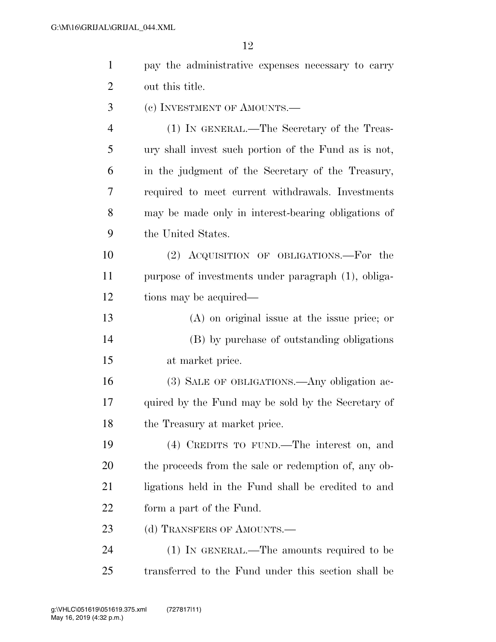| 1              | pay the administrative expenses necessary to carry   |
|----------------|------------------------------------------------------|
| $\overline{2}$ | out this title.                                      |
| 3              | (c) INVESTMENT OF AMOUNTS.—                          |
| $\overline{4}$ | (1) IN GENERAL.—The Secretary of the Treas-          |
| 5              | ury shall invest such portion of the Fund as is not, |
| 6              | in the judgment of the Secretary of the Treasury,    |
| 7              | required to meet current withdrawals. Investments    |
| 8              | may be made only in interest-bearing obligations of  |
| 9              | the United States.                                   |
| 10             | (2) ACQUISITION OF OBLIGATIONS.—For the              |
| 11             | purpose of investments under paragraph (1), obliga-  |
| 12             | tions may be acquired—                               |
| 13             | $(A)$ on original issue at the issue price; or       |
| 14             | (B) by purchase of outstanding obligations           |
| 15             | at market price.                                     |
| 16             | (3) SALE OF OBLIGATIONS.—Any obligation ac-          |
| 17             | quired by the Fund may be sold by the Secretary of   |
| 18             | the Treasury at market price.                        |
| 19             | (4) CREDITS TO FUND.—The interest on, and            |
| <b>20</b>      | the proceeds from the sale or redemption of, any ob- |
| 21             | ligations held in the Fund shall be credited to and  |
| 22             | form a part of the Fund.                             |
| 23             | (d) TRANSFERS OF AMOUNTS.                            |
| 24             | $(1)$ In GENERAL.—The amounts required to be         |
| 25             | transferred to the Fund under this section shall be  |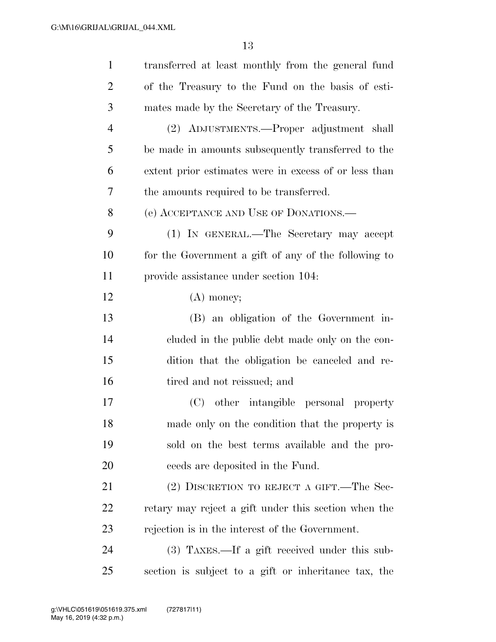| $\mathbf{1}$   | transferred at least monthly from the general fund    |
|----------------|-------------------------------------------------------|
| $\overline{2}$ | of the Treasury to the Fund on the basis of esti-     |
| 3              | mates made by the Secretary of the Treasury.          |
| $\overline{4}$ | (2) ADJUSTMENTS.—Proper adjustment shall              |
| 5              | be made in amounts subsequently transferred to the    |
| 6              | extent prior estimates were in excess of or less than |
| 7              | the amounts required to be transferred.               |
| 8              | (e) ACCEPTANCE AND USE OF DONATIONS.—                 |
| 9              | (1) IN GENERAL.—The Secretary may accept              |
| 10             | for the Government a gift of any of the following to  |
| 11             | provide assistance under section 104.                 |
| 12             | $(A)$ money;                                          |
| 13             | (B) an obligation of the Government in-               |
| 14             | cluded in the public debt made only on the con-       |
| 15             | dition that the obligation be canceled and re-        |
| 16             | tired and not reissued; and                           |
| 17             | other intangible personal property<br>(C)             |
| 18             | made only on the condition that the property is       |
| 19             | sold on the best terms available and the pro-         |
| 20             | ceeds are deposited in the Fund.                      |
| 21             | (2) DISCRETION TO REJECT A GIFT.—The Sec-             |
| <u>22</u>      | retary may reject a gift under this section when the  |
| 23             | rejection is in the interest of the Government.       |
| 24             | $(3)$ TAXES.—If a gift received under this sub-       |
| 25             | section is subject to a gift or inheritance tax, the  |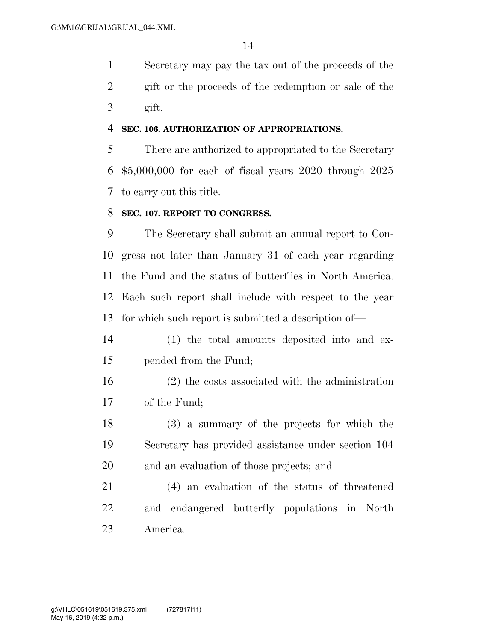Secretary may pay the tax out of the proceeds of the gift or the proceeds of the redemption or sale of the gift.

#### **SEC. 106. AUTHORIZATION OF APPROPRIATIONS.**

 There are authorized to appropriated to the Secretary \$5,000,000 for each of fiscal years 2020 through 2025 to carry out this title.

### **SEC. 107. REPORT TO CONGRESS.**

 The Secretary shall submit an annual report to Con- gress not later than January 31 of each year regarding the Fund and the status of butterflies in North America. Each such report shall include with respect to the year for which such report is submitted a description of—

- (1) the total amounts deposited into and ex-pended from the Fund;
- (2) the costs associated with the administration of the Fund;
- (3) a summary of the projects for which the Secretary has provided assistance under section 104 and an evaluation of those projects; and

 (4) an evaluation of the status of threatened and endangered butterfly populations in North America.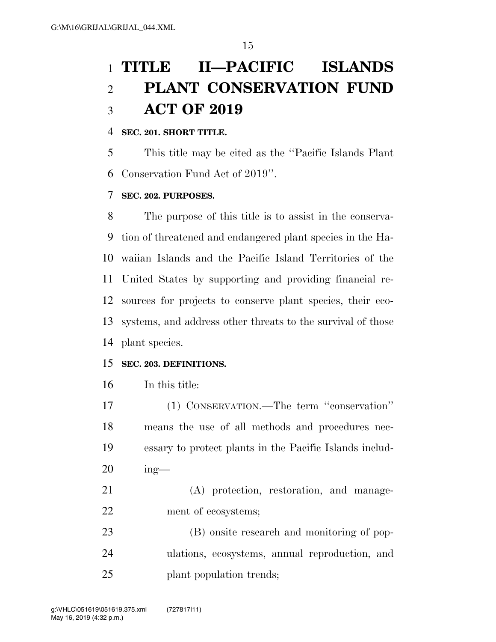# **TITLE II—PACIFIC ISLANDS PLANT CONSERVATION FUND ACT OF 2019**

# **SEC. 201. SHORT TITLE.**

 This title may be cited as the ''Pacific Islands Plant Conservation Fund Act of 2019''.

#### **SEC. 202. PURPOSES.**

 The purpose of this title is to assist in the conserva- tion of threatened and endangered plant species in the Ha- waiian Islands and the Pacific Island Territories of the United States by supporting and providing financial re- sources for projects to conserve plant species, their eco- systems, and address other threats to the survival of those plant species.

#### **SEC. 203. DEFINITIONS.**

In this title:

 (1) CONSERVATION.—The term ''conservation'' means the use of all methods and procedures nec- essary to protect plants in the Pacific Islands includ-ing—

- (A) protection, restoration, and manage-ment of ecosystems;
- (B) onsite research and monitoring of pop- ulations, ecosystems, annual reproduction, and plant population trends;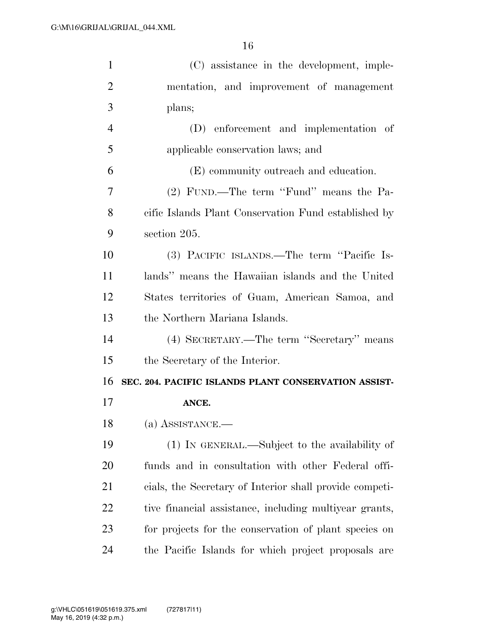| $\mathbf{1}$   | (C) assistance in the development, imple-               |
|----------------|---------------------------------------------------------|
| $\overline{2}$ | mentation, and improvement of management                |
| 3              | plans;                                                  |
| $\overline{4}$ | (D) enforcement and implementation of                   |
| 5              | applicable conservation laws; and                       |
| 6              | (E) community outreach and education.                   |
| 7              | (2) FUND.—The term "Fund" means the Pa-                 |
| 8              | cific Islands Plant Conservation Fund established by    |
| 9              | section 205.                                            |
| 10             | (3) PACIFIC ISLANDS.—The term "Pacific Is-              |
| 11             | lands" means the Hawaiian islands and the United        |
| 12             | States territories of Guam, American Samoa, and         |
| 13             | the Northern Mariana Islands.                           |
| 14             | (4) SECRETARY.—The term "Secretary" means               |
|                |                                                         |
| 15             | the Secretary of the Interior.                          |
| 16             | SEC. 204. PACIFIC ISLANDS PLANT CONSERVATION ASSIST-    |
| 17             | ANCE.                                                   |
| 18             | $(a)$ ASSISTANCE.—                                      |
| 19             | (1) IN GENERAL.—Subject to the availability of          |
| 20             | funds and in consultation with other Federal offi-      |
| 21             | cials, the Secretary of Interior shall provide competi- |
| 22             | tive financial assistance, including multiyear grants,  |
| 23             | for projects for the conservation of plant species on   |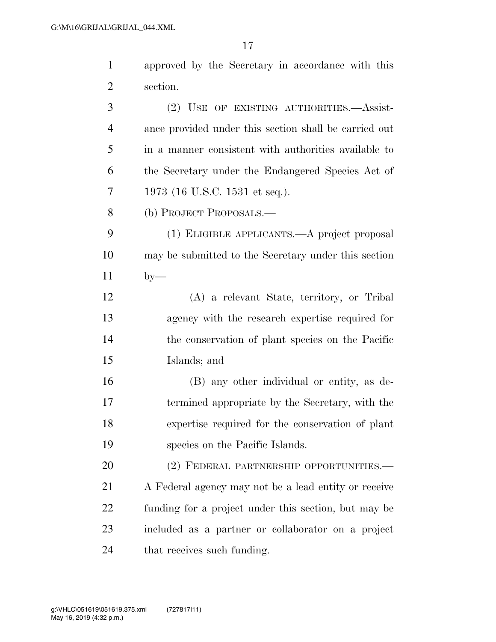| $\mathbf{1}$   | approved by the Secretary in accordance with this     |
|----------------|-------------------------------------------------------|
| $\overline{2}$ | section.                                              |
| 3              | (2) USE OF EXISTING AUTHORITIES.—Assist-              |
| $\overline{4}$ | ance provided under this section shall be carried out |
| 5              | in a manner consistent with authorities available to  |
| 6              | the Secretary under the Endangered Species Act of     |
| 7              | 1973 (16 U.S.C. 1531 et seq.).                        |
| 8              | (b) PROJECT PROPOSALS.—                               |
| 9              | (1) ELIGIBLE APPLICANTS.—A project proposal           |
| 10             | may be submitted to the Secretary under this section  |
| 11             | $by-$                                                 |
| 12             | (A) a relevant State, territory, or Tribal            |
| 13             | agency with the research expertise required for       |
| 14             | the conservation of plant species on the Pacific      |
| 15             | Islands; and                                          |
| 16             | (B) any other individual or entity, as de-            |
| 17             | termined appropriate by the Secretary, with the       |
| 18             | expertise required for the conservation of plant      |
| 19             | species on the Pacific Islands.                       |
| 20             | (2) FEDERAL PARTNERSHIP OPPORTUNITIES.—               |
| 21             | A Federal agency may not be a lead entity or receive  |
| 22             | funding for a project under this section, but may be  |
| 23             | included as a partner or collaborator on a project    |

that receives such funding.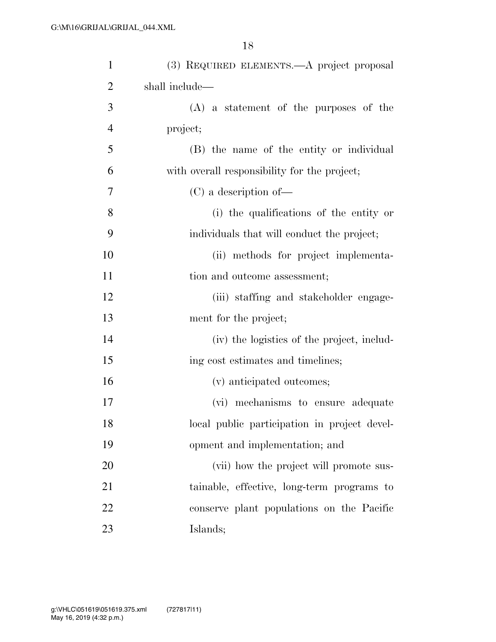| $\mathbf{1}$   | (3) REQUIRED ELEMENTS.—A project proposal    |
|----------------|----------------------------------------------|
| $\overline{2}$ | shall include—                               |
| 3              | $(A)$ a statement of the purposes of the     |
| $\overline{4}$ | project;                                     |
| 5              | (B) the name of the entity or individual     |
| 6              | with overall responsibility for the project; |
| 7              | $(C)$ a description of —                     |
| 8              | (i) the qualifications of the entity or      |
| 9              | individuals that will conduct the project;   |
| 10             | (ii) methods for project implementa-         |
| 11             | tion and outcome assessment;                 |
| 12             | (iii) staffing and stakeholder engage-       |
| 13             | ment for the project;                        |
| 14             | (iv) the logistics of the project, includ-   |
| 15             | ing cost estimates and timelines;            |
| 16             | (v) anticipated outcomes;                    |
| 17             | (vi) mechanisms to ensure adequate           |
| 18             | local public participation in project devel- |
| 19             | opment and implementation; and               |
| 20             | (vii) how the project will promote sus-      |
| 21             | tainable, effective, long-term programs to   |
| 22             | conserve plant populations on the Pacific    |
| 23             | Islands;                                     |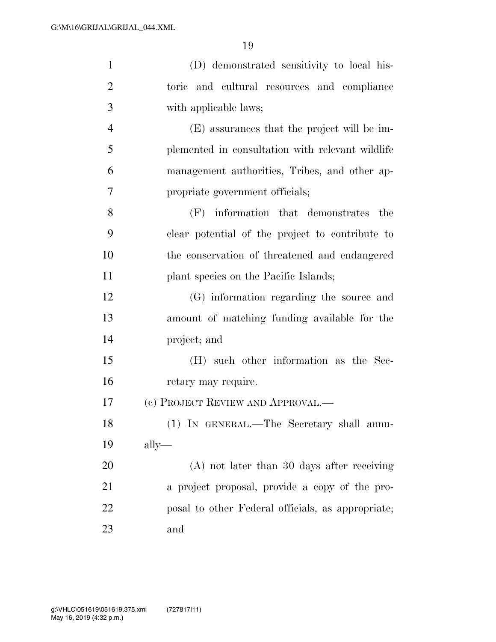| $\mathbf{1}$   | (D) demonstrated sensitivity to local his-        |
|----------------|---------------------------------------------------|
| $\overline{2}$ | toric and cultural resources and compliance       |
| 3              | with applicable laws;                             |
| $\overline{4}$ | (E) assurances that the project will be im-       |
| 5              | plemented in consultation with relevant wildlife  |
| 6              | management authorities, Tribes, and other ap-     |
| 7              | propriate government officials;                   |
| 8              | (F) information that demonstrates<br>the          |
| 9              | clear potential of the project to contribute to   |
| 10             | the conservation of threatened and endangered     |
| 11             | plant species on the Pacific Islands;             |
| 12             | (G) information regarding the source and          |
| 13             | amount of matching funding available for the      |
| 14             | project; and                                      |
| 15             | (H) such other information as the Sec-            |
| 16             | retary may require.                               |
| 17             | (c) PROJECT REVIEW AND APPROVAL.—                 |
| 18             | (1) IN GENERAL.—The Secretary shall annu-         |
| 19             | $\text{ally}$ —                                   |
| 20             | $(A)$ not later than 30 days after receiving      |
| 21             | a project proposal, provide a copy of the pro-    |
| <u>22</u>      | posal to other Federal officials, as appropriate; |
| 23             | and                                               |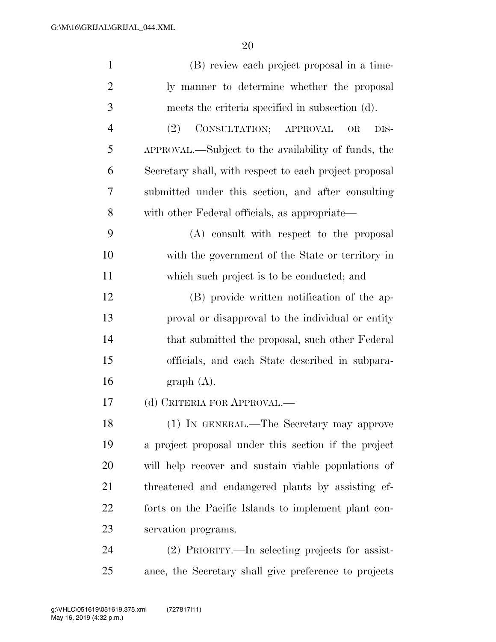| $\mathbf{1}$   | (B) review each project proposal in a time-            |
|----------------|--------------------------------------------------------|
| $\overline{2}$ | ly manner to determine whether the proposal            |
| 3              | meets the criteria specified in subsection (d).        |
| $\overline{4}$ | CONSULTATION; APPROVAL<br>(2)<br><b>OR</b><br>DIS-     |
| 5              | APPROVAL.—Subject to the availability of funds, the    |
| 6              | Secretary shall, with respect to each project proposal |
| 7              | submitted under this section, and after consulting     |
| 8              | with other Federal officials, as appropriate—          |
| 9              | (A) consult with respect to the proposal               |
| 10             | with the government of the State or territory in       |
| 11             | which such project is to be conducted; and             |
| 12             | (B) provide written notification of the ap-            |
| 13             | proval or disapproval to the individual or entity      |
| 14             | that submitted the proposal, such other Federal        |
| 15             | officials, and each State described in subpara-        |
| 16             | graph(A).                                              |
| 17             | (d) CRITERIA FOR APPROVAL.—                            |
| 18             | (1) IN GENERAL.—The Secretary may approve              |
| 19             | a project proposal under this section if the project   |
| 20             | will help recover and sustain viable populations of    |
| 21             | threatened and endangered plants by assisting ef-      |
| 22             | forts on the Pacific Islands to implement plant con-   |
| 23             | servation programs.                                    |
| 24             | (2) PRIORITY.—In selecting projects for assist-        |
| 25             | ance, the Secretary shall give preference to projects  |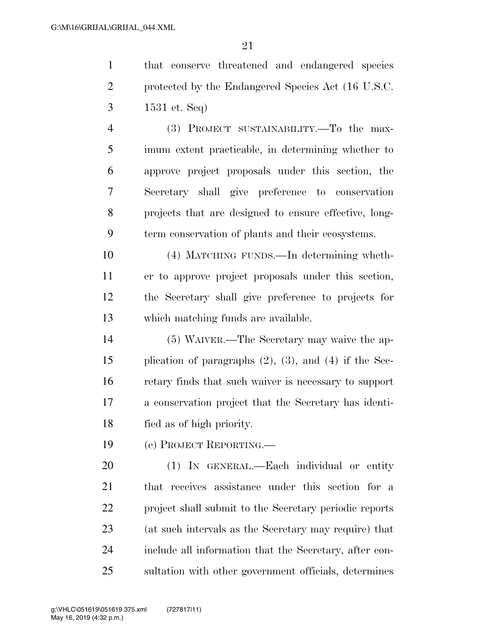that conserve threatened and endangered species protected by the Endangered Species Act (16 U.S.C. 1531 et. Seq)

 (3) PROJECT SUSTAINABILITY.—To the max- imum extent practicable, in determining whether to approve project proposals under this section, the Secretary shall give preference to conservation projects that are designed to ensure effective, long-term conservation of plants and their ecosystems.

 (4) MATCHING FUNDS.—In determining wheth- er to approve project proposals under this section, the Secretary shall give preference to projects for which matching funds are available.

 (5) WAIVER.—The Secretary may waive the ap- plication of paragraphs (2), (3), and (4) if the Sec- retary finds that such waiver is necessary to support a conservation project that the Secretary has identi-fied as of high priority.

(e) PROJECT REPORTING.—

 (1) IN GENERAL.—Each individual or entity that receives assistance under this section for a project shall submit to the Secretary periodic reports (at such intervals as the Secretary may require) that include all information that the Secretary, after con-sultation with other government officials, determines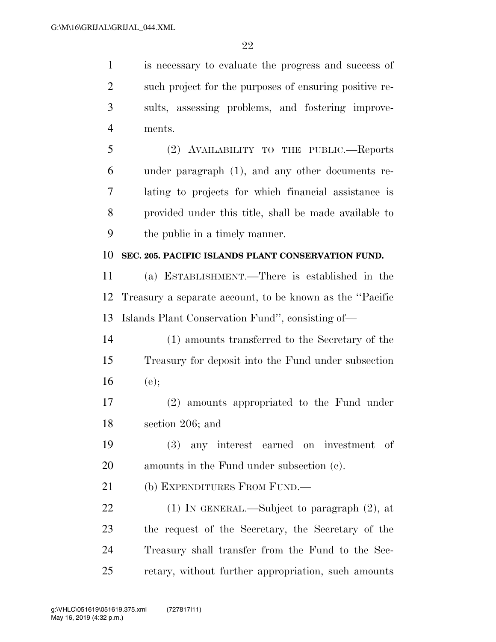is necessary to evaluate the progress and success of such project for the purposes of ensuring positive re- sults, assessing problems, and fostering improve- ments. (2) AVAILABILITY TO THE PUBLIC.—Reports under paragraph (1), and any other documents re- lating to projects for which financial assistance is provided under this title, shall be made available to the public in a timely manner. **SEC. 205. PACIFIC ISLANDS PLANT CONSERVATION FUND.**  (a) ESTABLISHMENT.—There is established in the Treasury a separate account, to be known as the ''Pacific

Islands Plant Conservation Fund'', consisting of—

 (1) amounts transferred to the Secretary of the Treasury for deposit into the Fund under subsection (e);

 (2) amounts appropriated to the Fund under section 206; and

 (3) any interest earned on investment of amounts in the Fund under subsection (c).

(b) EXPENDITURES FROM FUND.—

 (1) IN GENERAL.—Subject to paragraph (2), at the request of the Secretary, the Secretary of the Treasury shall transfer from the Fund to the Sec-retary, without further appropriation, such amounts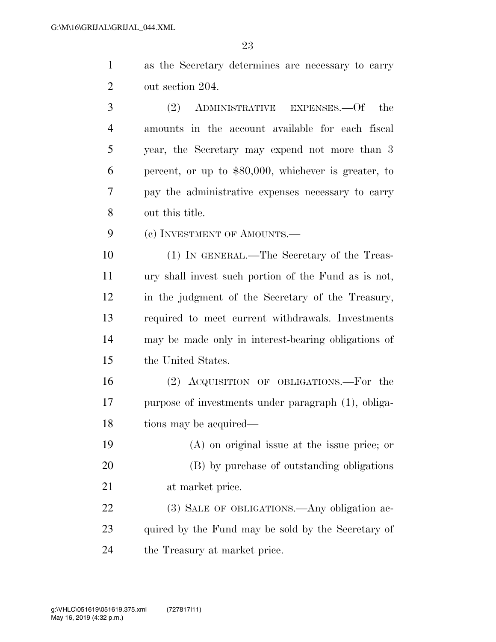| as the Secretary determines are necessary to carry |  |
|----------------------------------------------------|--|
| out section 204.                                   |  |

 (2) ADMINISTRATIVE EXPENSES.—Of the amounts in the account available for each fiscal year, the Secretary may expend not more than 3 percent, or up to \$80,000, whichever is greater, to pay the administrative expenses necessary to carry out this title.

9 (c) INVESTMENT OF AMOUNTS.—

 (1) IN GENERAL.—The Secretary of the Treas- ury shall invest such portion of the Fund as is not, in the judgment of the Secretary of the Treasury, required to meet current withdrawals. Investments may be made only in interest-bearing obligations of the United States.

 (2) ACQUISITION OF OBLIGATIONS.—For the purpose of investments under paragraph (1), obliga-18 tions may be acquired—

 (A) on original issue at the issue price; or (B) by purchase of outstanding obligations at market price.

22 (3) SALE OF OBLIGATIONS.—Any obligation ac-23 quired by the Fund may be sold by the Secretary of the Treasury at market price.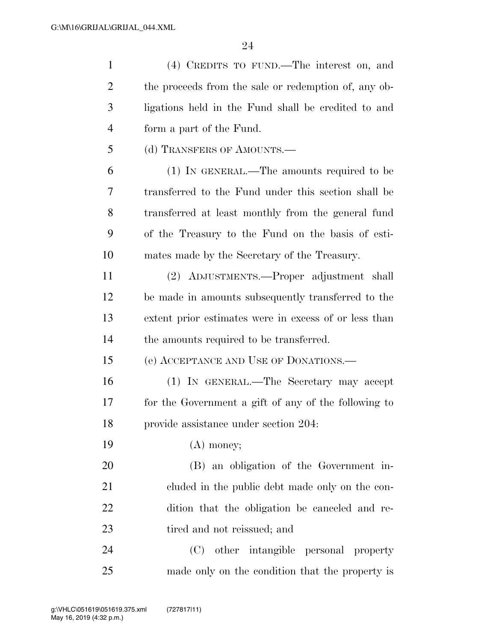| $\mathbf{1}$   | (4) CREDITS TO FUND.—The interest on, and             |
|----------------|-------------------------------------------------------|
| $\overline{2}$ | the proceeds from the sale or redemption of, any ob-  |
| 3              | ligations held in the Fund shall be credited to and   |
| $\overline{4}$ | form a part of the Fund.                              |
| 5              | (d) TRANSFERS OF AMOUNTS.—                            |
| 6              | (1) IN GENERAL.—The amounts required to be            |
| 7              | transferred to the Fund under this section shall be   |
| 8              | transferred at least monthly from the general fund    |
| 9              | of the Treasury to the Fund on the basis of esti-     |
| 10             | mates made by the Secretary of the Treasury.          |
| 11             | (2) ADJUSTMENTS.—Proper adjustment shall              |
| 12             | be made in amounts subsequently transferred to the    |
| 13             | extent prior estimates were in excess of or less than |
| 14             | the amounts required to be transferred.               |
| 15             | (e) ACCEPTANCE AND USE OF DONATIONS.—                 |
| 16             | (1) IN GENERAL.—The Secretary may accept              |
| 17             | for the Government a gift of any of the following to  |
| 18             | provide assistance under section 204.                 |
| 19             | $(A)$ money;                                          |
| 20             | (B) an obligation of the Government in-               |
| 21             | cluded in the public debt made only on the con-       |
| 22             | dition that the obligation be canceled and re-        |
| 23             | tired and not reissued; and                           |
| 24             | other intangible personal property<br>(C)             |
| 25             | made only on the condition that the property is       |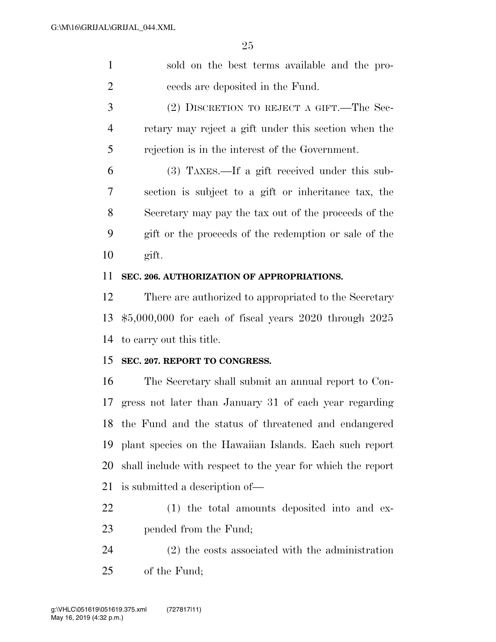sold on the best terms available and the pro-ceeds are deposited in the Fund.

 (2) DISCRETION TO REJECT A GIFT.—The Sec- retary may reject a gift under this section when the rejection is in the interest of the Government.

 (3) TAXES.—If a gift received under this sub- section is subject to a gift or inheritance tax, the Secretary may pay the tax out of the proceeds of the gift or the proceeds of the redemption or sale of the gift.

### **SEC. 206. AUTHORIZATION OF APPROPRIATIONS.**

 There are authorized to appropriated to the Secretary \$5,000,000 for each of fiscal years 2020 through 2025 to carry out this title.

### **SEC. 207. REPORT TO CONGRESS.**

 The Secretary shall submit an annual report to Con- gress not later than January 31 of each year regarding the Fund and the status of threatened and endangered plant species on the Hawaiian Islands. Each such report shall include with respect to the year for which the report is submitted a description of—

 (1) the total amounts deposited into and ex-pended from the Fund;

 (2) the costs associated with the administration of the Fund;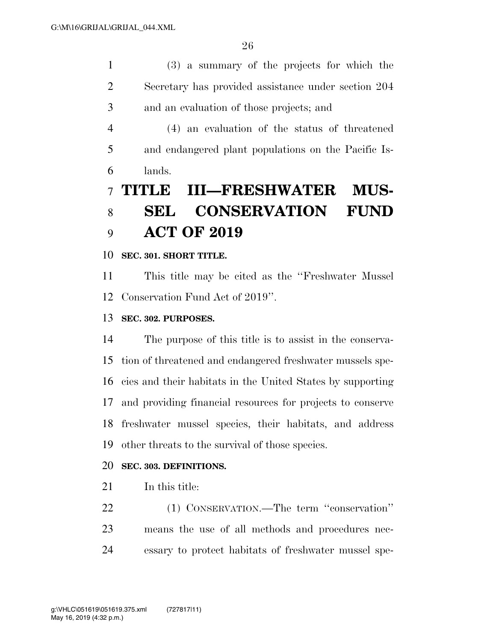(3) a summary of the projects for which the Secretary has provided assistance under section 204 and an evaluation of those projects; and

 (4) an evaluation of the status of threatened and endangered plant populations on the Pacific Is-lands.

# **TITLE III—FRESHWATER MUS- SEL CONSERVATION FUND ACT OF 2019**

**SEC. 301. SHORT TITLE.** 

 This title may be cited as the ''Freshwater Mussel Conservation Fund Act of 2019''.

# **SEC. 302. PURPOSES.**

 The purpose of this title is to assist in the conserva- tion of threatened and endangered freshwater mussels spe- cies and their habitats in the United States by supporting and providing financial resources for projects to conserve freshwater mussel species, their habitats, and address other threats to the survival of those species.

# **SEC. 303. DEFINITIONS.**

21 In this title:

 (1) CONSERVATION.—The term ''conservation'' means the use of all methods and procedures nec-essary to protect habitats of freshwater mussel spe-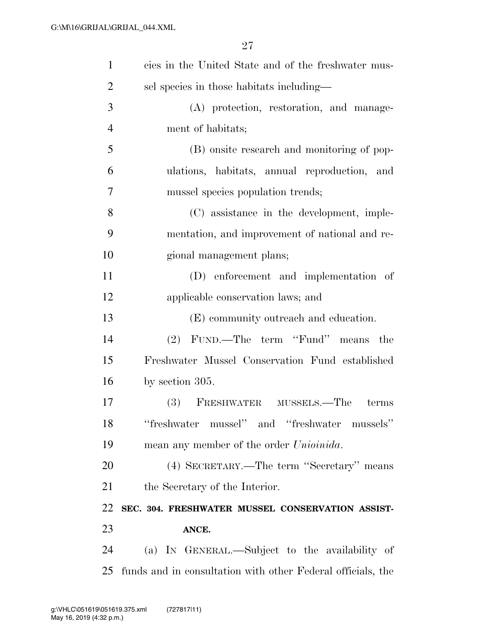| $\mathbf{1}$   | cies in the United State and of the freshwater mus-         |
|----------------|-------------------------------------------------------------|
| $\overline{2}$ | sel species in those habitats including—                    |
| 3              | (A) protection, restoration, and manage-                    |
| $\overline{4}$ | ment of habitats;                                           |
| 5              | (B) onsite research and monitoring of pop-                  |
| 6              | ulations, habitats, annual reproduction, and                |
| 7              | mussel species population trends;                           |
| 8              | (C) assistance in the development, imple-                   |
| 9              | mentation, and improvement of national and re-              |
| 10             | gional management plans;                                    |
| 11             | (D) enforcement and implementation of                       |
| 12             | applicable conservation laws; and                           |
| 13             | (E) community outreach and education.                       |
| 14             | FUND.—The term "Fund" means the<br>(2)                      |
| 15             | Freshwater Mussel Conservation Fund established             |
| 16             | by section $305$ .                                          |
| 17             | (3) FRESHWATER MUSSELS.—The<br>terms                        |
| 18             | "freshwater mussel" and "freshwater mussels"                |
| 19             | mean any member of the order <i>Unioinida</i> .             |
| 20             | (4) SECRETARY.—The term "Secretary" means                   |
| 21             | the Secretary of the Interior.                              |
| 22             | SEC. 304. FRESHWATER MUSSEL CONSERVATION ASSIST-            |
| 23             | ANCE.                                                       |
| 24             | (a) IN GENERAL.—Subject to the availability of              |
| 25             | funds and in consultation with other Federal officials, the |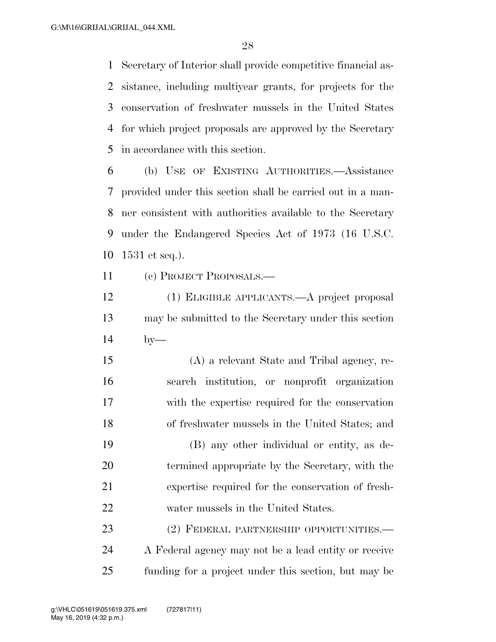Secretary of Interior shall provide competitive financial as- sistance, including multiyear grants, for projects for the conservation of freshwater mussels in the United States for which project proposals are approved by the Secretary in accordance with this section.

 (b) USE OF EXISTING AUTHORITIES.—Assistance provided under this section shall be carried out in a man- ner consistent with authorities available to the Secretary under the Endangered Species Act of 1973 (16 U.S.C. 1531 et seq.).

(c) PROJECT PROPOSALS.—

 (1) ELIGIBLE APPLICANTS.—A project proposal may be submitted to the Secretary under this section by—

 (A) a relevant State and Tribal agency, re- search institution, or nonprofit organization with the expertise required for the conservation of freshwater mussels in the United States; and

 (B) any other individual or entity, as de- termined appropriate by the Secretary, with the expertise required for the conservation of fresh-water mussels in the United States.

 (2) FEDERAL PARTNERSHIP OPPORTUNITIES.— A Federal agency may not be a lead entity or receive funding for a project under this section, but may be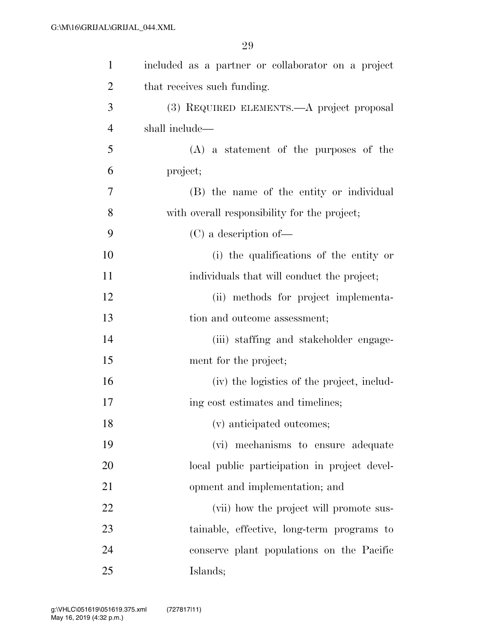| $\mathbf{1}$   | included as a partner or collaborator on a project |
|----------------|----------------------------------------------------|
| $\overline{2}$ | that receives such funding.                        |
| 3              | (3) REQUIRED ELEMENTS.—A project proposal          |
| $\overline{4}$ | shall include—                                     |
| 5              | $(A)$ a statement of the purposes of the           |
| 6              | project;                                           |
| 7              | (B) the name of the entity or individual           |
| 8              | with overall responsibility for the project;       |
| 9              | $(C)$ a description of —                           |
| 10             | (i) the qualifications of the entity or            |
| 11             | individuals that will conduct the project;         |
| 12             | (ii) methods for project implementa-               |
| 13             | tion and outcome assessment;                       |
| 14             | (iii) staffing and stakeholder engage-             |
| 15             | ment for the project;                              |
| 16             | (iv) the logistics of the project, includ-         |
| 17             | ing cost estimates and timelines;                  |
| 18             | (v) anticipated outcomes;                          |
| 19             | (vi) mechanisms to ensure adequate                 |
| 20             | local public participation in project devel-       |
| 21             | opment and implementation; and                     |
| 22             | (vii) how the project will promote sus-            |
| 23             | tainable, effective, long-term programs to         |
| 24             | conserve plant populations on the Pacific          |
| 25             | Islands;                                           |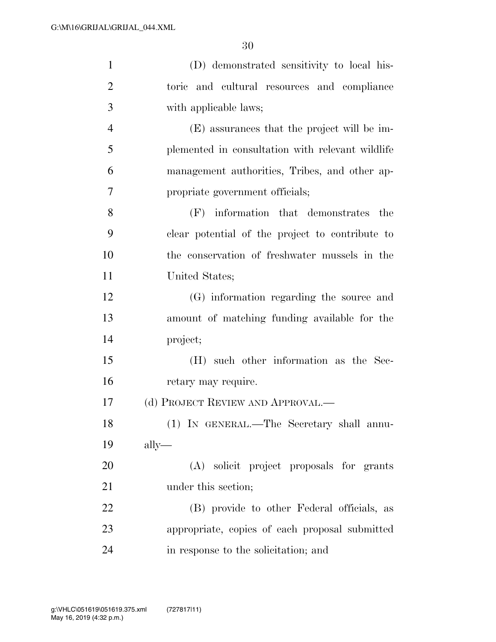| $\mathbf{1}$   | (D) demonstrated sensitivity to local his-       |
|----------------|--------------------------------------------------|
| $\overline{2}$ | toric and cultural resources and compliance      |
| 3              | with applicable laws;                            |
| $\overline{4}$ | (E) assurances that the project will be im-      |
| 5              | plemented in consultation with relevant wildlife |
| 6              | management authorities, Tribes, and other ap-    |
| 7              | propriate government officials;                  |
| 8              | (F) information that demonstrates the            |
| 9              | clear potential of the project to contribute to  |
| 10             | the conservation of freshwater mussels in the    |
| 11             | United States;                                   |
| 12             | (G) information regarding the source and         |
| 13             | amount of matching funding available for the     |
| 14             | project;                                         |
| 15             | (H) such other information as the Sec-           |
| 16             | retary may require.                              |
| 17             | (d) PROJECT REVIEW AND APPROVAL.—                |
| 18             | (1) IN GENERAL.—The Secretary shall annu-        |
| 19             | $\text{ally}$ —                                  |
| 20             | (A) solicit project proposals for grants         |
| 21             | under this section;                              |
| 22             | (B) provide to other Federal officials, as       |
| 23             | appropriate, copies of each proposal submitted   |
| 24             | in response to the solicitation; and             |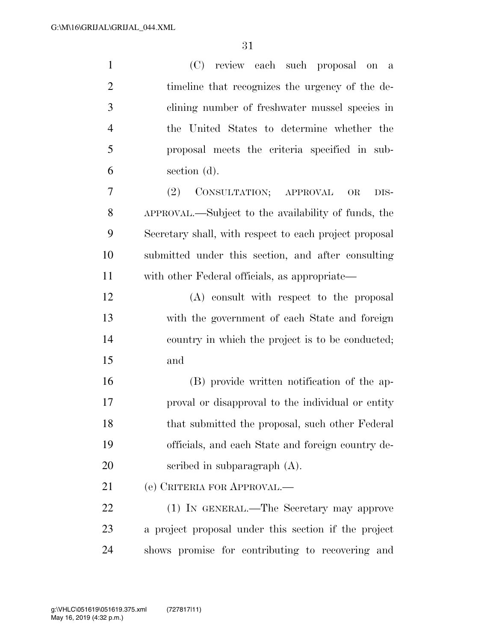| $\mathbf{1}$   | (C) review each such proposal on a                     |
|----------------|--------------------------------------------------------|
| $\overline{2}$ | timeline that recognizes the urgency of the de-        |
| 3              | clining number of freshwater mussel species in         |
| $\overline{4}$ | the United States to determine whether the             |
| 5              | proposal meets the criteria specified in sub-          |
| 6              | section (d).                                           |
| $\overline{7}$ | (2) CONSULTATION; APPROVAL<br><b>OR</b><br>DIS-        |
| 8              | APPROVAL.—Subject to the availability of funds, the    |
| 9              | Secretary shall, with respect to each project proposal |
| 10             | submitted under this section, and after consulting     |
| 11             | with other Federal officials, as appropriate—          |
| 12             | (A) consult with respect to the proposal               |
| 13             | with the government of each State and foreign          |
| 14             | country in which the project is to be conducted;       |
| 15             | and                                                    |
| 16             | (B) provide written notification of the ap-            |
| 17             | proval or disapproval to the individual or entity      |
| 18             | that submitted the proposal, such other Federal        |
| 19             | officials, and each State and foreign country de-      |
| 20             | scribed in subparagraph $(A)$ .                        |
| 21             | (e) CRITERIA FOR APPROVAL.—                            |
| 22             | (1) IN GENERAL.—The Secretary may approve              |
| 23             | a project proposal under this section if the project   |
| 24             | shows promise for contributing to recovering and       |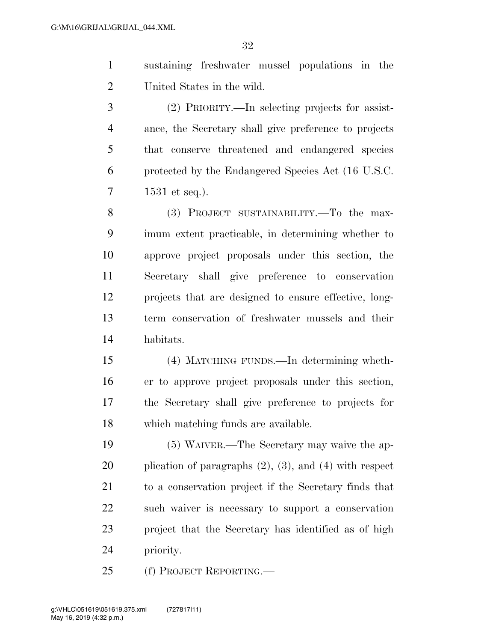- sustaining freshwater mussel populations in the United States in the wild.
- (2) PRIORITY.—In selecting projects for assist- ance, the Secretary shall give preference to projects that conserve threatened and endangered species protected by the Endangered Species Act (16 U.S.C. 1531 et seq.).

 (3) PROJECT SUSTAINABILITY.—To the max- imum extent practicable, in determining whether to approve project proposals under this section, the Secretary shall give preference to conservation projects that are designed to ensure effective, long- term conservation of freshwater mussels and their habitats.

 (4) MATCHING FUNDS.—In determining wheth- er to approve project proposals under this section, the Secretary shall give preference to projects for which matching funds are available.

 (5) WAIVER.—The Secretary may waive the ap- plication of paragraphs (2), (3), and (4) with respect to a conservation project if the Secretary finds that such waiver is necessary to support a conservation project that the Secretary has identified as of high priority.

(f) PROJECT REPORTING.—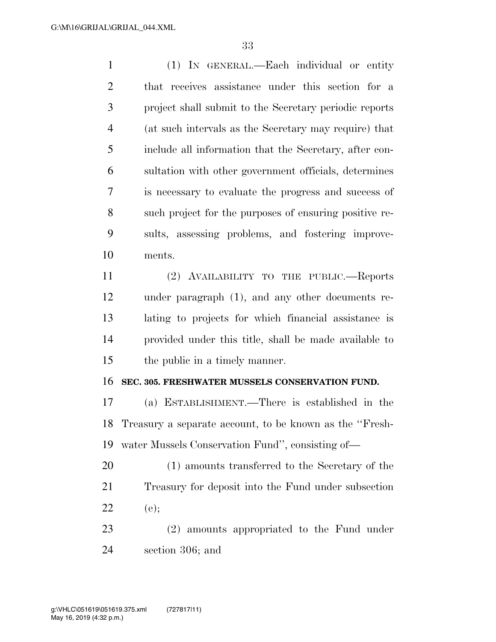(1) IN GENERAL.—Each individual or entity that receives assistance under this section for a project shall submit to the Secretary periodic reports (at such intervals as the Secretary may require) that include all information that the Secretary, after con- sultation with other government officials, determines is necessary to evaluate the progress and success of such project for the purposes of ensuring positive re- sults, assessing problems, and fostering improve-ments.

 (2) AVAILABILITY TO THE PUBLIC.—Reports under paragraph (1), and any other documents re- lating to projects for which financial assistance is provided under this title, shall be made available to the public in a timely manner.

#### **SEC. 305. FRESHWATER MUSSELS CONSERVATION FUND.**

 (a) ESTABLISHMENT.—There is established in the Treasury a separate account, to be known as the ''Fresh-water Mussels Conservation Fund'', consisting of—

 (1) amounts transferred to the Secretary of the Treasury for deposit into the Fund under subsection 22 (e);

 (2) amounts appropriated to the Fund under section 306; and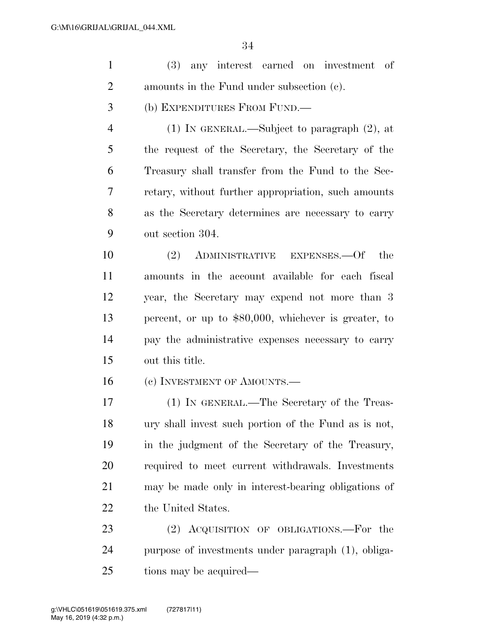| $\mathbf{1}$   | (3) any interest earned on investment of             |
|----------------|------------------------------------------------------|
| $\overline{2}$ | amounts in the Fund under subsection (c).            |
| 3              | (b) EXPENDITURES FROM FUND.—                         |
| $\overline{4}$ | $(1)$ In GENERAL.—Subject to paragraph $(2)$ , at    |
| 5              | the request of the Secretary, the Secretary of the   |
| 6              | Treasury shall transfer from the Fund to the Sec-    |
| 7              | retary, without further appropriation, such amounts  |
| 8              | as the Secretary determines are necessary to carry   |
| 9              | out section 304.                                     |
| 10             | (2) ADMINISTRATIVE EXPENSES.—Of<br>the               |
| 11             | amounts in the account available for each fiscal     |
| 12             | year, the Secretary may expend not more than 3       |
| 13             | percent, or up to \$80,000, whichever is greater, to |
| 14             | pay the administrative expenses necessary to carry   |
| 15             | out this title.                                      |
| 16             | (c) INVESTMENT OF AMOUNTS.—                          |
| 17             | (1) IN GENERAL.—The Secretary of the Treas-          |
| 18             | ury shall invest such portion of the Fund as is not, |
| 19             | in the judgment of the Secretary of the Treasury,    |
| 20             | required to meet current withdrawals. Investments    |
| 21             | may be made only in interest-bearing obligations of  |
| 22             | the United States.                                   |
| 23             | (2) ACQUISITION OF OBLIGATIONS.—For the              |
| 24             | purpose of investments under paragraph (1), obliga-  |
|                |                                                      |

tions may be acquired—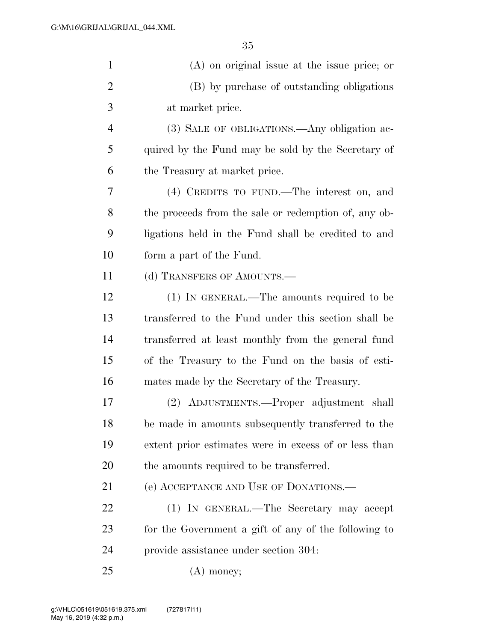| $\mathbf{1}$   | $(A)$ on original issue at the issue price; or        |
|----------------|-------------------------------------------------------|
| $\overline{2}$ | (B) by purchase of outstanding obligations            |
| 3              | at market price.                                      |
| $\overline{4}$ | (3) SALE OF OBLIGATIONS.—Any obligation ac-           |
| 5              | quired by the Fund may be sold by the Secretary of    |
| 6              | the Treasury at market price.                         |
| 7              | (4) CREDITS TO FUND.—The interest on, and             |
| 8              | the proceeds from the sale or redemption of, any ob-  |
| 9              | ligations held in the Fund shall be credited to and   |
| 10             | form a part of the Fund.                              |
| 11             | (d) TRANSFERS OF AMOUNTS.—                            |
| 12             | (1) IN GENERAL.—The amounts required to be            |
| 13             | transferred to the Fund under this section shall be   |
| 14             | transferred at least monthly from the general fund    |
| 15             | of the Treasury to the Fund on the basis of esti-     |
| 16             | mates made by the Secretary of the Treasury.          |
| 17             | (2) ADJUSTMENTS.—Proper adjustment shall              |
| 18             | be made in amounts subsequently transferred to the    |
| 19             | extent prior estimates were in excess of or less than |
| 20             | the amounts required to be transferred.               |
| 21             | (e) ACCEPTANCE AND USE OF DONATIONS.—                 |
| 22             | (1) IN GENERAL.—The Secretary may accept              |
| 23             | for the Government a gift of any of the following to  |
| 24             | provide assistance under section 304.                 |
| 25             | $(A)$ money;                                          |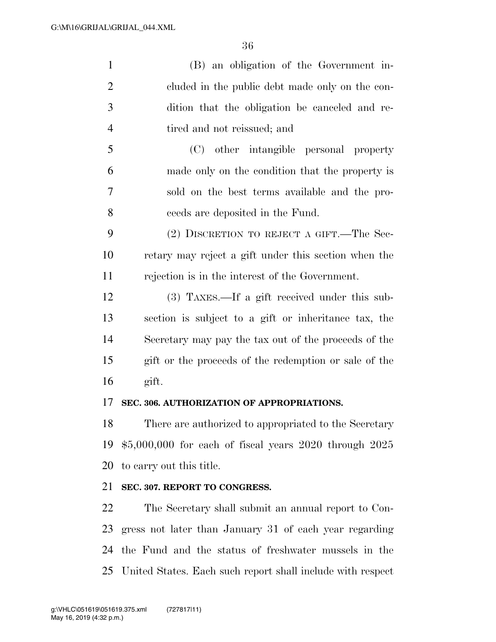(B) an obligation of the Government in- cluded in the public debt made only on the con- dition that the obligation be canceled and re-4 tired and not reissued; and

 (C) other intangible personal property made only on the condition that the property is sold on the best terms available and the pro-ceeds are deposited in the Fund.

 (2) DISCRETION TO REJECT A GIFT.—The Sec- retary may reject a gift under this section when the rejection is in the interest of the Government.

 (3) TAXES.—If a gift received under this sub- section is subject to a gift or inheritance tax, the Secretary may pay the tax out of the proceeds of the gift or the proceeds of the redemption or sale of the gift.

#### **SEC. 306. AUTHORIZATION OF APPROPRIATIONS.**

 There are authorized to appropriated to the Secretary \$5,000,000 for each of fiscal years 2020 through 2025 to carry out this title.

# **SEC. 307. REPORT TO CONGRESS.**

 The Secretary shall submit an annual report to Con- gress not later than January 31 of each year regarding the Fund and the status of freshwater mussels in the United States. Each such report shall include with respect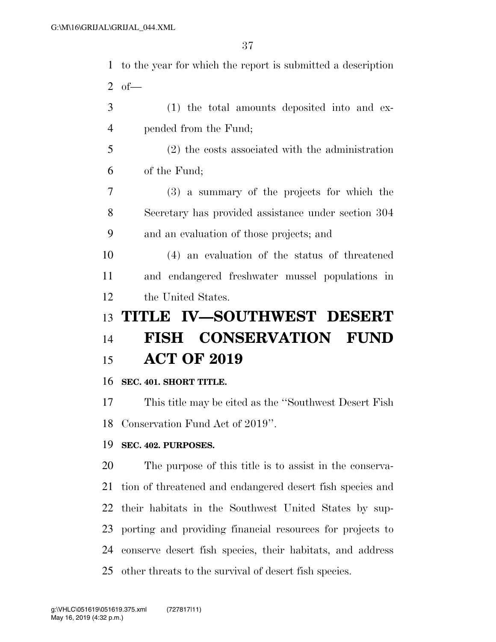| $\mathbf{1}$   | to the year for which the report is submitted a description |
|----------------|-------------------------------------------------------------|
| 2              | $of$ —                                                      |
| 3              | (1) the total amounts deposited into and ex-                |
| $\overline{4}$ | pended from the Fund;                                       |
| 5              | $(2)$ the costs associated with the administration          |
| 6              | of the Fund;                                                |
| $\overline{7}$ | (3) a summary of the projects for which the                 |
| 8              | Secretary has provided assistance under section 304         |
| 9              | and an evaluation of those projects; and                    |
| 10             | (4) an evaluation of the status of threatened               |
| 11             | and endangered freshwater mussel populations in             |
| 12             | the United States.                                          |
| 13             | TITLE IV-SOUTHWEST DESERT                                   |
| 14             | <b>FISH CONSERVATION FUND</b>                               |
| 15             | <b>ACT OF 2019</b>                                          |
| 16             | SEC. 401. SHORT TITLE.                                      |
| 17             | This title may be cited as the "Southwest Desert Fish"      |
|                |                                                             |

Conservation Fund Act of 2019''.

# **SEC. 402. PURPOSES.**

 The purpose of this title is to assist in the conserva- tion of threatened and endangered desert fish species and their habitats in the Southwest United States by sup- porting and providing financial resources for projects to conserve desert fish species, their habitats, and address other threats to the survival of desert fish species.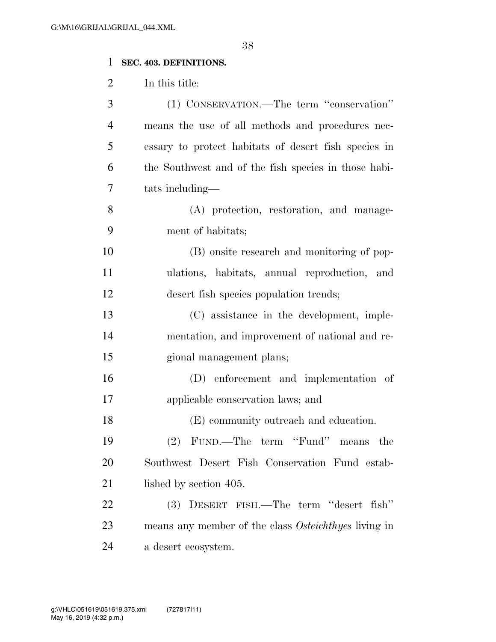# **SEC. 403. DEFINITIONS.**

In this title:

| 3              | (1) CONSERVATION.—The term "conservation"            |
|----------------|------------------------------------------------------|
| $\overline{4}$ | means the use of all methods and procedures nec-     |
| 5              | essary to protect habitats of desert fish species in |
| 6              | the Southwest and of the fish species in those habi- |
| 7              | tats including—                                      |
| 8              | (A) protection, restoration, and manage-             |
| 9              | ment of habitats;                                    |
| 10             | (B) onsite research and monitoring of pop-           |
| 11             | ulations, habitats, annual reproduction, and         |
| 12             | desert fish species population trends;               |
| 13             | (C) assistance in the development, imple-            |
| 14             | mentation, and improvement of national and re-       |
| 15             | gional management plans;                             |
| 16             | (D) enforcement and implementation of                |
| 17             | applicable conservation laws; and                    |
| 18             | (E) community outreach and education.                |
| 19             | (2) FUND.—The term "Fund" means the                  |
| 20             | Southwest Desert Fish Conservation Fund estab-       |
| 21             | lished by section 405.                               |
| 22             | DESERT FISH.—The term "desert fish"<br>(3)           |
| 23             | means any member of the class Osteichthyes living in |
| 24             | a desert ecosystem.                                  |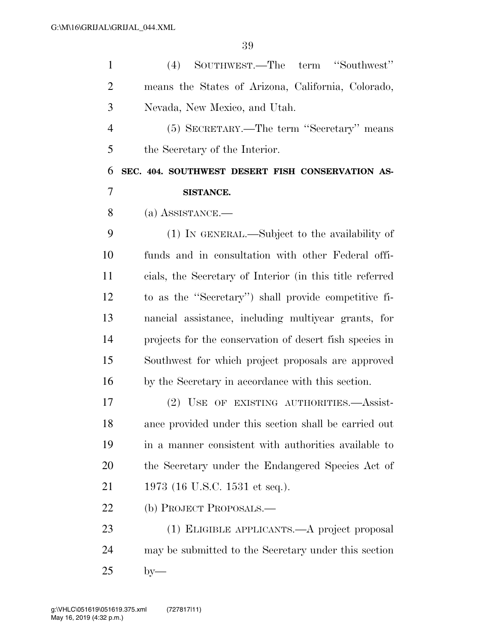| $\mathbf{1}$   | SOUTHWEST.—The term "Southwest"<br>(4)                   |
|----------------|----------------------------------------------------------|
| $\overline{2}$ | means the States of Arizona, California, Colorado,       |
| 3              | Nevada, New Mexico, and Utah.                            |
| $\overline{4}$ | (5) SECRETARY.—The term "Secretary" means                |
| 5              | the Secretary of the Interior.                           |
| 6              | SEC. 404. SOUTHWEST DESERT FISH CONSERVATION AS-         |
| 7              | <b>SISTANCE.</b>                                         |
| 8              | (a) ASSISTANCE.—                                         |
| 9              | (1) IN GENERAL.—Subject to the availability of           |
| 10             | funds and in consultation with other Federal offi-       |
| 11             | cials, the Secretary of Interior (in this title referred |
| 12             | to as the "Secretary") shall provide competitive fi-     |
| 13             | nancial assistance, including multiyear grants, for      |
| 14             | projects for the conservation of desert fish species in  |
| 15             | Southwest for which project proposals are approved       |
| 16             | by the Secretary in accordance with this section.        |
| 17             | OF EXISTING AUTHORITIES. Assist-<br>$(2)$ USE            |
| 18             | ance provided under this section shall be carried out    |
| 19             | in a manner consistent with authorities available to     |
| 20             | the Secretary under the Endangered Species Act of        |
| 21             | 1973 (16 U.S.C. 1531 et seq.).                           |
| 22             | (b) PROJECT PROPOSALS.—                                  |
| 23             | (1) ELIGIBLE APPLICANTS.—A project proposal              |
| 24             | may be submitted to the Secretary under this section     |
| 25             | $by-$                                                    |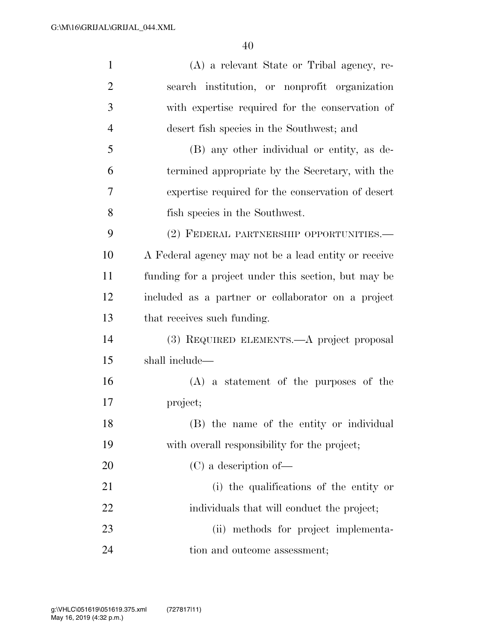| $\mathbf{1}$   | (A) a relevant State or Tribal agency, re-           |
|----------------|------------------------------------------------------|
| $\overline{2}$ | search institution, or nonprofit organization        |
| 3              | with expertise required for the conservation of      |
| $\overline{4}$ | desert fish species in the Southwest; and            |
| 5              | (B) any other individual or entity, as de-           |
| 6              | termined appropriate by the Secretary, with the      |
| 7              | expertise required for the conservation of desert    |
| 8              | fish species in the Southwest.                       |
| 9              | (2) FEDERAL PARTNERSHIP OPPORTUNITIES.—              |
| 10             | A Federal agency may not be a lead entity or receive |
| 11             | funding for a project under this section, but may be |
| 12             | included as a partner or collaborator on a project   |
| 13             | that receives such funding.                          |
| 14             | (3) REQUIRED ELEMENTS.—A project proposal            |
| 15             | shall include—                                       |
| 16             | $(A)$ a statement of the purposes of the             |
| 17             | project;                                             |
| 18             | (B) the name of the entity or individual             |
| 19             | with overall responsibility for the project;         |
| 20             | $(C)$ a description of —                             |
| 21             | (i) the qualifications of the entity or              |
| 22             | individuals that will conduct the project;           |
| 23             | (ii) methods for project implementa-                 |
| 24             | tion and outcome assessment;                         |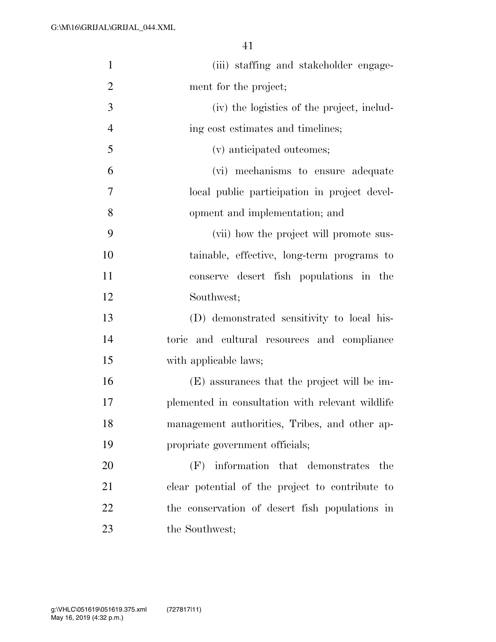| $\mathbf{1}$   | (iii) staffing and stakeholder engage-           |
|----------------|--------------------------------------------------|
| $\overline{2}$ | ment for the project;                            |
| 3              | (iv) the logistics of the project, includ-       |
| $\overline{4}$ | ing cost estimates and timelines;                |
| 5              | (v) anticipated outcomes;                        |
| 6              | (vi) mechanisms to ensure adequate               |
| 7              | local public participation in project devel-     |
| 8              | opment and implementation; and                   |
| 9              | (vii) how the project will promote sus-          |
| 10             | tainable, effective, long-term programs to       |
| 11             | conserve desert fish populations in the          |
| 12             | Southwest;                                       |
| 13             | (D) demonstrated sensitivity to local his-       |
| 14             | toric and cultural resources and compliance      |
| 15             | with applicable laws;                            |
| 16             | (E) assurances that the project will be im-      |
| 17             | plemented in consultation with relevant wildlife |
| 18             | management authorities, Tribes, and other ap-    |
| 19             | propriate government officials;                  |
| 20             | information that demonstrates the<br>(F)         |
| 21             | clear potential of the project to contribute to  |
| 22             | the conservation of desert fish populations in   |
| 23             | the Southwest;                                   |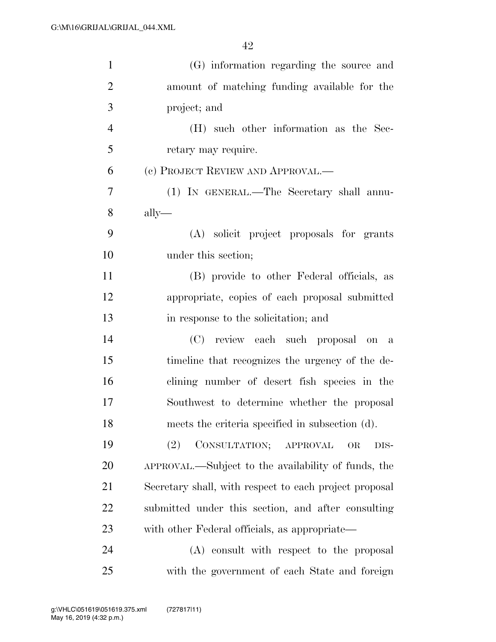| $\mathbf{1}$   | (G) information regarding the source and               |
|----------------|--------------------------------------------------------|
| $\overline{2}$ | amount of matching funding available for the           |
| 3              | project; and                                           |
| $\overline{4}$ | (H) such other information as the Sec-                 |
| 5              | retary may require.                                    |
| 6              | (c) PROJECT REVIEW AND APPROVAL.—                      |
| 7              | (1) IN GENERAL.—The Secretary shall annu-              |
| 8              | $\text{ally}$ —                                        |
| 9              | (A) solicit project proposals for grants               |
| 10             | under this section;                                    |
| 11             | (B) provide to other Federal officials, as             |
| 12             | appropriate, copies of each proposal submitted         |
| 13             | in response to the solicitation; and                   |
| 14             | (C) review each such proposal on a                     |
| 15             | timeline that recognizes the urgency of the de-        |
| 16             | clining number of desert fish species in the           |
| 17             | Southwest to determine whether the proposal            |
| 18             | meets the criteria specified in subsection (d).        |
| 19             | CONSULTATION; APPROVAL<br>(2)<br>OR<br>DIS-            |
| 20             | APPROVAL.—Subject to the availability of funds, the    |
| 21             | Secretary shall, with respect to each project proposal |
| 22             | submitted under this section, and after consulting     |
| 23             | with other Federal officials, as appropriate—          |
| 24             | (A) consult with respect to the proposal               |
| 25             | with the government of each State and foreign          |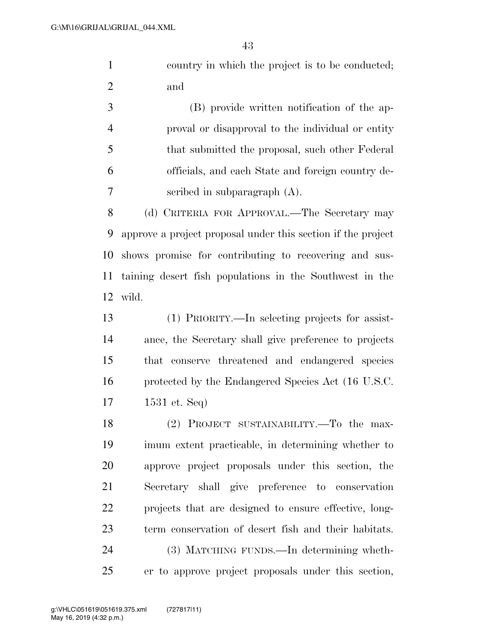country in which the project is to be conducted; and

 (B) provide written notification of the ap- proval or disapproval to the individual or entity that submitted the proposal, such other Federal officials, and each State and foreign country de-scribed in subparagraph (A).

 (d) CRITERIA FOR APPROVAL.—The Secretary may approve a project proposal under this section if the project shows promise for contributing to recovering and sus- taining desert fish populations in the Southwest in the wild.

 (1) PRIORITY.—In selecting projects for assist- ance, the Secretary shall give preference to projects that conserve threatened and endangered species protected by the Endangered Species Act (16 U.S.C. 1531 et. Seq)

 (2) PROJECT SUSTAINABILITY.—To the max- imum extent practicable, in determining whether to approve project proposals under this section, the Secretary shall give preference to conservation projects that are designed to ensure effective, long- term conservation of desert fish and their habitats. (3) MATCHING FUNDS.—In determining wheth-er to approve project proposals under this section,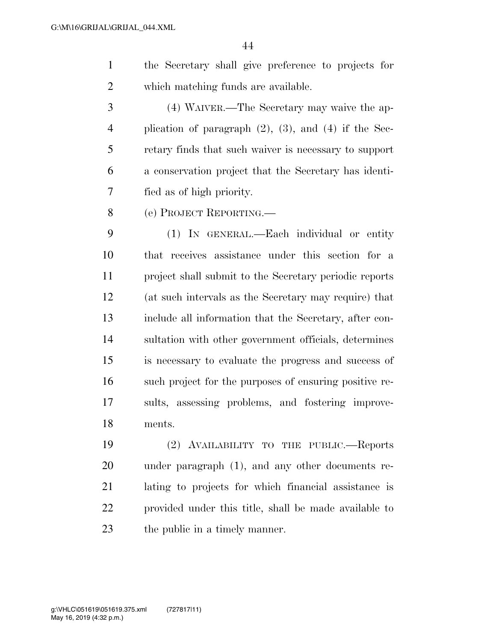the Secretary shall give preference to projects for which matching funds are available.

 (4) WAIVER.—The Secretary may waive the ap- plication of paragraph (2), (3), and (4) if the Sec- retary finds that such waiver is necessary to support a conservation project that the Secretary has identi-fied as of high priority.

(e) PROJECT REPORTING.—

 (1) IN GENERAL.—Each individual or entity that receives assistance under this section for a project shall submit to the Secretary periodic reports (at such intervals as the Secretary may require) that include all information that the Secretary, after con- sultation with other government officials, determines is necessary to evaluate the progress and success of such project for the purposes of ensuring positive re- sults, assessing problems, and fostering improve-ments.

 (2) AVAILABILITY TO THE PUBLIC.—Reports under paragraph (1), and any other documents re- lating to projects for which financial assistance is provided under this title, shall be made available to the public in a timely manner.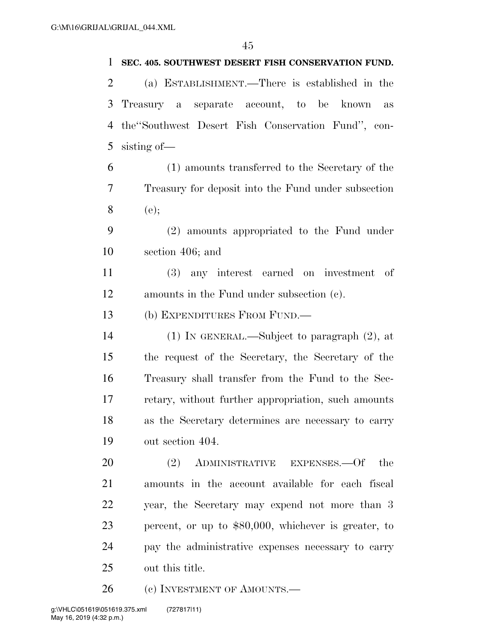### **SEC. 405. SOUTHWEST DESERT FISH CONSERVATION FUND.**

 (a) ESTABLISHMENT.—There is established in the Treasury a separate account, to be known as the''Southwest Desert Fish Conservation Fund'', con-sisting of—

 (1) amounts transferred to the Secretary of the Treasury for deposit into the Fund under subsection (e);

 (2) amounts appropriated to the Fund under section 406; and

 (3) any interest earned on investment of amounts in the Fund under subsection (c).

(b) EXPENDITURES FROM FUND.—

 (1) IN GENERAL.—Subject to paragraph (2), at the request of the Secretary, the Secretary of the Treasury shall transfer from the Fund to the Sec- retary, without further appropriation, such amounts as the Secretary determines are necessary to carry out section 404.

20 (2) ADMINISTRATIVE EXPENSES.—Of the amounts in the account available for each fiscal year, the Secretary may expend not more than 3 percent, or up to \$80,000, whichever is greater, to pay the administrative expenses necessary to carry out this title.

26 (c) INVESTMENT OF AMOUNTS.—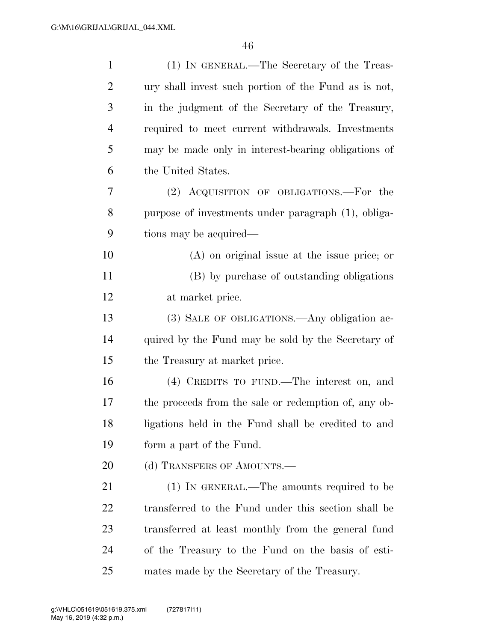| $\mathbf{1}$   | (1) IN GENERAL.—The Secretary of the Treas-          |
|----------------|------------------------------------------------------|
| $\overline{2}$ | ury shall invest such portion of the Fund as is not, |
| 3              | in the judgment of the Secretary of the Treasury,    |
| $\overline{4}$ | required to meet current withdrawals. Investments    |
| 5              | may be made only in interest-bearing obligations of  |
| 6              | the United States.                                   |
| 7              | (2) ACQUISITION OF OBLIGATIONS.—For the              |
| 8              | purpose of investments under paragraph (1), obliga-  |
| 9              | tions may be acquired—                               |
| 10             | $(A)$ on original issue at the issue price; or       |
| 11             | (B) by purchase of outstanding obligations           |
| 12             | at market price.                                     |
| 13             | (3) SALE OF OBLIGATIONS.—Any obligation ac-          |
| 14             | quired by the Fund may be sold by the Secretary of   |
| 15             | the Treasury at market price.                        |
| 16             | (4) CREDITS TO FUND.—The interest on, and            |
| 17             | the proceeds from the sale or redemption of, any ob- |
| 18             | ligations held in the Fund shall be credited to and  |
| 19             | form a part of the Fund.                             |
| 20             | (d) TRANSFERS OF AMOUNTS.-                           |
| 21             | $(1)$ IN GENERAL.—The amounts required to be         |
| 22             | transferred to the Fund under this section shall be  |
| 23             | transferred at least monthly from the general fund   |
| 24             | of the Treasury to the Fund on the basis of esti-    |
| 25             | mates made by the Secretary of the Treasury.         |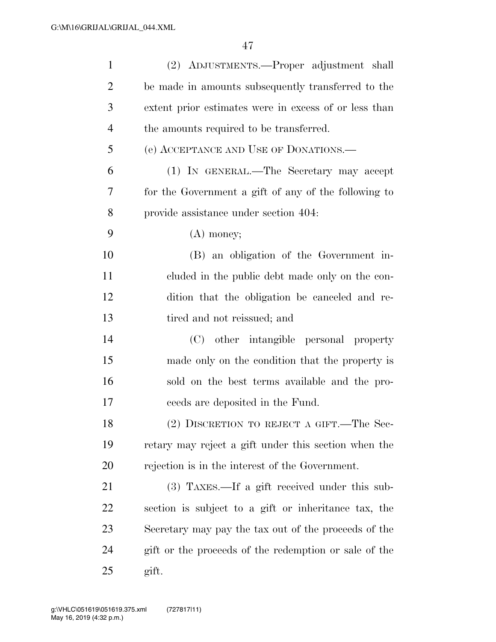| $\mathbf{1}$   | (2) ADJUSTMENTS.—Proper adjustment shall              |
|----------------|-------------------------------------------------------|
| $\overline{2}$ | be made in amounts subsequently transferred to the    |
| 3              | extent prior estimates were in excess of or less than |
| $\overline{4}$ | the amounts required to be transferred.               |
| 5              | (e) ACCEPTANCE AND USE OF DONATIONS.—                 |
| 6              | (1) IN GENERAL.—The Secretary may accept              |
| 7              | for the Government a gift of any of the following to  |
| 8              | provide assistance under section 404.                 |
| 9              | $(A)$ money;                                          |
| 10             | (B) an obligation of the Government in-               |
| 11             | cluded in the public debt made only on the con-       |
| 12             | dition that the obligation be canceled and re-        |
| 13             | tired and not reissued; and                           |
| 14             | (C) other intangible personal property                |
| 15             | made only on the condition that the property is       |
| 16             | sold on the best terms available and the pro-         |
| 17             | ceeds are deposited in the Fund.                      |
| 18             | (2) DISCRETION TO REJECT A GIFT.—The Sec-             |
| 19             | retary may reject a gift under this section when the  |
| 20             | rejection is in the interest of the Government.       |
| 21             | $(3)$ TAXES.—If a gift received under this sub-       |
| 22             | section is subject to a gift or inheritance tax, the  |
| 23             | Secretary may pay the tax out of the proceeds of the  |
| 24             | gift or the proceeds of the redemption or sale of the |
| 25             | gift.                                                 |